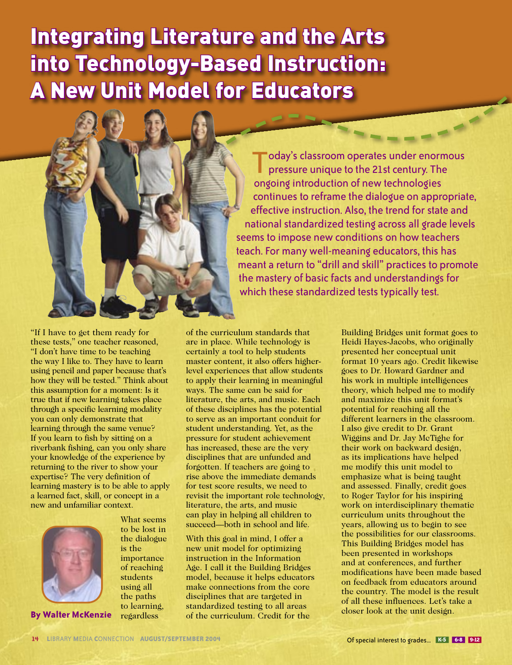# Integrating Literature and the Arts into Technology-Based Instruction: A New Unit Model for Educators<br>
A Constitution of the Constitution of the Constitution of the Constitution of the Constitution of the Constitution of the Constitution of the Constitution of the Constitution of the Constitu



pressure unique to the 21st century. The ongoing introduction of new technologies continues to reframe the dialogue on appropriate, effective instruction. Also, the trend for state and national standardized testing across all grade levels seems to impose new conditions on how teachers teach. For many well-meaning educators, this has meant a return to "drill and skill" practices to promote the mastery of basic facts and understandings for which these standardized tests typically test.

"If I have to get them ready for these tests," one teacher reasoned, "I don't have time to be teaching the way I like to. They have to learn using pencil and paper because that's how they will be tested." Think about this assumption for a moment: Is it true that if new learning takes place through a specific learning modality you can only demonstrate that learning through the same venue? If you learn to fish by sitting on a riverbank fishing, can you only share your knowledge of the experience by returning to the river to show your expertise? The very definition of learning mastery is to be able to apply a learned fact, skill, or concept in a new and unfamiliar context.



**By Walter McKenzie**

What seems to be lost in the dialogue is the importance of reaching students using all the paths to learning, regardless

of the curriculum standards that are in place. While technology is certainly a tool to help students master content, it also offers higherlevel experiences that allow students to apply their learning in meaningful ways. The same can be said for literature, the arts, and music. Each of these disciplines has the potential to serve as an important conduit for student understanding. Yet, as the pressure for student achievement has increased, these are the very disciplines that are unfunded and forgotten. If teachers are going to rise above the immediate demands for test score results, we need to revisit the important role technology, literature, the arts, and music can play in helping all children to succeed—both in school and life.

With this goal in mind, I offer a new unit model for optimizing instruction in the Information Age. I call it the Building Bridges model, because it helps educators make connections from the core disciplines that are targeted in standardized testing to all areas of the curriculum. Credit for the

Building Bridges unit format goes to Heidi Hayes-Jacobs, who originally presented her conceptual unit format 10 years ago. Credit likewise goes to Dr. Howard Gardner and his work in multiple intelligences theory, which helped me to modify and maximize this unit format's potential for reaching all the different learners in the classroom. I also give credit to Dr. Grant Wiggins and Dr. Jay McTighe for their work on backward design, as its implications have helped me modify this unit model to emphasize what is being taught and assessed. Finally, credit goes to Roger Taylor for his inspiring work on interdisciplinary thematic curriculum units throughout the years, allowing us to begin to see the possibilities for our classrooms. This Building Bridges model has been presented in workshops and at conferences, and further modifications have been made based on feedback from educators around the country. The model is the result of all these influences. Let's take a closer look at the unit design. **14 LIIBRARY CONNECTION CONNECTION CONNECTION CONNECTION CONNECTION CONNECTION CONNECTION CONNECTION CONNECTION CONNECTION CONNECTION CONNECTION CONNECTION CONNECTION CONNECTION CONNECTION**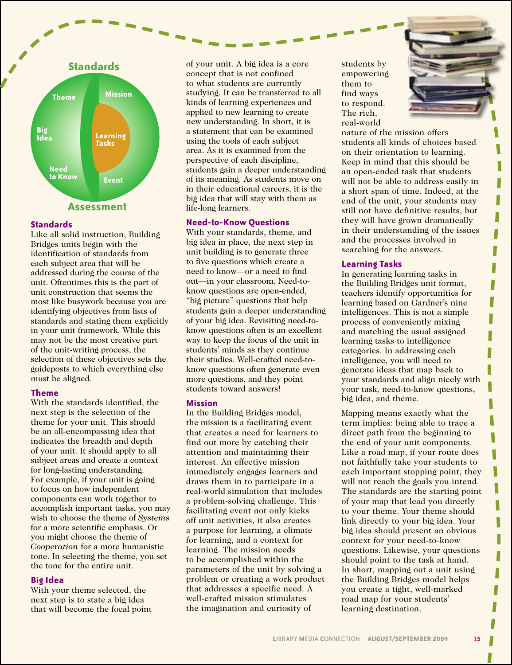

## **Standards**

Like all solid instruction, Building Bridges units begin with the identification of standards from each subject area that will be addressed during the course of the unit. Oftentimes this is the part of unit construction that seems the most like busywork because you are identifying objectives from lists of standards and stating them explicitly in your unit framework. While this may not be the most creative part of the unit-writing process, the selection of these objectives sets the guideposts to which everything else must be aligned.

## **Theme**

With the standards identified, the next step is the selection of the theme for your unit. This should be an all-encompassing idea that indicates the breadth and depth of your unit. It should apply to all subject areas and create a context for long-lasting understanding. For example, if your unit is going to focus on how independent components can work together to accomplish important tasks, you may wish to choose the theme of *Systems*  for a more scientific emphasis. Or you might choose the theme of *Cooperation* for a more humanistic tone. In selecting the theme, you set the tone for the entire unit.

# **Big Idea**

With your theme selected, the next step is to state a big idea that will become the focal point of your unit. A big idea is a core concept that is not confined to what students are currently studying. It can be transferred to all kinds of learning experiences and applied to new learning to create new understanding. In short, it is a statement that can be examined using the tools of each subject area. As it is examined from the perspective of each discipline, students gain a deeper understanding of its meaning. As students move on in their educational careers, it is the big idea that will stay with them as life-long learners.

# **Need-to-Know Questions**

With your standards, theme, and big idea in place, the next step in unit building is to generate three to five questions which create a need to know—or a need to find out—in your classroom. Need-toknow questions are open-ended, "big picture" questions that help students gain a deeper understanding of your big idea. Revisiting need-toknow questions often is an excellent way to keep the focus of the unit in students' minds as they continue their studies. Well-crafted need-toknow questions often generate even more questions, and they point students toward answers!

## **Mission**

In the Building Bridges model, the mission is a facilitating event that creates a need for learners to find out more by catching their attention and maintaining their interest. An effective mission immediately engages learners and draws them in to participate in a real-world simulation that includes a problem-solving challenge. This facilitating event not only kicks off unit activities, it also creates a purpose for learning, a climate for learning, and a context for learning. The mission needs to be accomplished within the parameters of the unit by solving a problem or creating a work product that addresses a specific need. A well-crafted mission stimulates the imagination and curiosity of

students by empowering them to find ways to respond. The rich, real-world

nature of the mission offers students all kinds of choices based on their orientation to learning. Keep in mind that this should be an open-ended task that students will not be able to address easily in a short span of time. Indeed, at the end of the unit, your students may still not have definitive results, but they will have grown dramatically in their understanding of the issues and the processes involved in searching for the answers.

## **Learning Tasks**

In generating learning tasks in the Building Bridges unit format, teachers identify opportunities for learning based on Gardner's nine intelligences. This is not a simple process of conveniently mixing and matching the usual assigned learning tasks to intelligence categories. In addressing each intelligence, you will need to generate ideas that map back to your standards and align nicely with your task, need-to-know questions, big idea, and theme.

Mapping means exactly what the term implies: being able to trace a direct path from the beginning to the end of your unit components. Like a road map, if your route does not faithfully take your students to each important stopping point, they will not reach the goals you intend. The standards are the starting point of your map that lead you directly to your theme. Your theme should link directly to your big idea. Your big idea should present an obvious context for your need-to-know questions. Likewise, your questions should point to the task at hand. In short, mapping out a unit using the Building Bridges model helps you create a tight, well-marked road map for your students' learning destination.



Π

П

H

П

П

Π

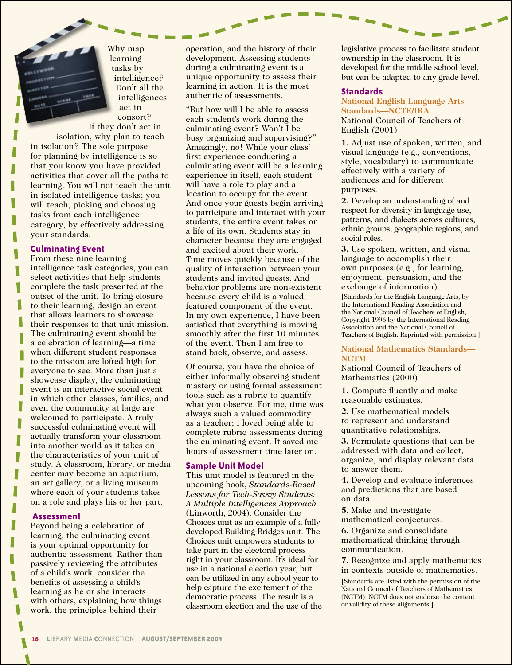Why map learning tasks by intelligence? Don't all the intelligences act in consort? If they don't act in

isolation, why plan to teach in isolation? The sole purpose for planning by intelligence is so that you know you have provided activities that cover all the paths to learning. You will not teach the unit in isolated intelligence tasks; you will teach, picking and choosing tasks from each intelligence category, by effectively addressing your standards.

#### **Culminating Event**

From these nine learning intelligence task categories, you can select activities that help students complete the task presented at the outset of the unit. To bring closure to their learning, design an event that allows learners to showcase their responses to that unit mission. The culminating event should be a celebration of learning—a time when different student responses to the mission are lofted high for everyone to see. More than just a showcase display, the culminating event is an interactive social event in which other classes, families, and even the community at large are welcomed to participate. A truly successful culminating event will actually transform your classroom into another world as it takes on the characteristics of your unit of study. A classroom, library, or media center may become an aquarium, an art gallery, or a living museum where each of your students takes on a role and plays his or her part.

#### **Assessment**

L

Beyond being a celebration of learning, the culminating event is your optimal opportunity for authentic assessment. Rather than passively reviewing the attributes of a child's work, consider the benefits of assessing a child's learning as he or she interacts with others, explaining how things work, the principles behind their

operation, and the history of their development. Assessing students during a culminating event is a unique opportunity to assess their learning in action. It is the most authentic of assessments.

"But how will I be able to assess each student's work during the culminating event? Won't I be busy organizing and supervising?" Amazingly, no! While your class' first experience conducting a culminating event will be a learning experience in itself, each student will have a role to play and a location to occupy for the event. And once your guests begin arriving to participate and interact with your students, the entire event takes on a life of its own. Students stay in character because they are engaged and excited about their work. Time moves quickly because of the quality of interaction between your students and invited guests. And behavior problems are non-existent because every child is a valued, featured component of the event. In my own experience, I have been satisfied that everything is moving smoothly after the first 10 minutes of the event. Then I am free to stand back, observe, and assess.

Of course, you have the choice of either informally observing student mastery or using formal assessment tools such as a rubric to quantify what you observe. For me, time was always such a valued commodity as a teacher; I loved being able to complete rubric assessments during the culminating event. It saved me hours of assessment time later on.

#### **Sample Unit Model**

This unit model is featured in the upcoming book, *Standards-Based Lessons for Tech-Savvy Students: A Multiple Intelligences Approach* (Linworth, 2004). Consider the Choices unit as an example of a fully developed Building Bridges unit. The Choices unit empowers students to take part in the electoral process right in your classroom. It's ideal for use in a national election year, but can be utilized in any school year to help capture the excitement of the democratic process. The result is a classroom election and the use of the legislative process to facilitate student ownership in the classroom. It is developed for the middle school level, but can be adapted to any grade level.

#### **Standards**

**National English Language Arts Standards—NCTE/IRA** National Council of Teachers of English (2001)

**1.** Adjust use of spoken, written, and visual language (e.g., conventions, style, vocabulary) to communicate effectively with a variety of audiences and for different purposes.

**2.** Develop an understanding of and respect for diversity in language use, patterns, and dialects across cultures, ethnic groups, geographic regions, and social roles.

**3.** Use spoken, written, and visual language to accomplish their own purposes (e.g., for learning, enjoyment, persuasion, and the exchange of information).

[Standards for the English Language Arts, by the International Reading Association and the National Council of Teachers of English, Copyright 1996 by the International Reading Association and the National Council of Teachers of English. Reprinted with permission.]

#### **National Mathematics Standards— NCTM**

National Council of Teachers of Mathematics (2000)

**1.** Compute fluently and make reasonable estimates.

**2.** Use mathematical models to represent and understand quantitative relationships.

**3.** Formulate questions that can be addressed with data and collect, organize, and display relevant data to answer them.

**4.** Develop and evaluate inferences and predictions that are based on data.

**5.** Make and investigate mathematical conjectures.

**6.** Organize and consolidate mathematical thinking through communication.

**7.** Recognize and apply mathematics in contexts outside of mathematics.

[Standards are listed with the permission of the National Council of Teachers of Mathematics (NCTM). NCTM does not endorse the content or validity of these alignments.]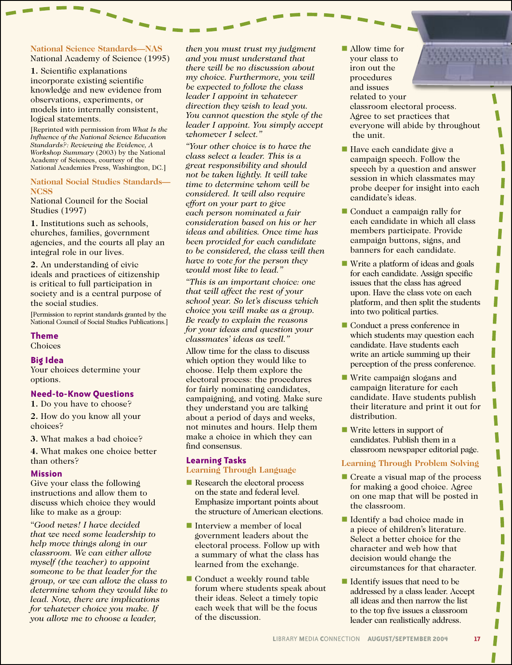## **National Science Standards—NAS** National Academy of Science (1995)

**1.** Scientific explanations incorporate existing scientific knowledge and new evidence from observations, experiments, or models into internally consistent, logical statements.

[Reprinted with permission from *What Is the Influence of the National Science Education Standards?: Reviewing the Evidence, A Workshop Summary* (2003) by the National Academy of Sciences, courtesy of the National Academies Press, Washington, DC.]

## **National Social Studies Standards— NCSS**

National Council for the Social Studies (1997)

**1.** Institutions such as schools, churches, families, government agencies, and the courts all play an integral role in our lives.

**2.** An understanding of civic ideals and practices of citizenship is critical to full participation in society and is a central purpose of the social studies.

[Permission to reprint standards granted by the National Council of Social Studies Publications.]

## **Theme**

**Choices** 

## **Big Idea**

Your choices determine your options.

## **Need-to-Know Questions**

**1.** Do you have to choose?

**2.** How do you know all your choices?

**3.** What makes a bad choice?

**4.** What makes one choice better than others?

## **Mission**

Give your class the following instructions and allow them to discuss which choice they would like to make as a group:

"*Good news! I have decided that we need some leadership to help move things along in our classroom. We can either allow myself (the teacher) to appoint someone to be that leader for the group, or we can allow the class to determine whom they would like to lead. Now, there are implications for whatever choice you make. If you allow me to choose a leader,* 

*then you must trust my judgment and you must understand that there will be no discussion about my choice. Furthermore, you will be expected to follow the class leader I appoint in whatever direction they wish to lead you. You cannot question the style of the leader I appoint. You simply accept whomever I select."*

*"Your other choice is to have the class select a leader. This is a great responsibility and should not be taken lightly. It will take time to determine whom will be considered. It will also require effort on your part to give each person nominated a fair consideration based on his or her ideas and abilities. Once time has been provided for each candidate to be considered, the class will then have to vote for the person they would most like to lead."*

*"This is an important choice: one that will affect the rest of your school year. So let's discuss which choice you will make as a group. Be ready to explain the reasons for your ideas and question your classmates' ideas as well."*

Allow time for the class to discuss which option they would like to choose. Help them explore the electoral process: the procedures for fairly nominating candidates, campaigning, and voting. Make sure they understand you are talking about a period of days and weeks, not minutes and hours. Help them make a choice in which they can find consensus.

## **Learning Tasks**

**Learning Through Language**

- Research the electoral process on the state and federal level. Emphasize important points about the structure of American elections.
- $\blacksquare$  Interview a member of local government leaders about the electoral process. Follow up with a summary of what the class has learned from the exchange.
- Conduct a weekly round table forum where students speak about their ideas. Select a timely topic each week that will be the focus of the discussion.
- $\blacksquare$  Allow time for your class to iron out the procedures and issues related to your classroom electoral process. Agree to set practices that everyone will abide by throughout the unit.
- Have each candidate give a campaign speech. Follow the speech by a question and answer session in which classmates may probe deeper for insight into each candidate's ideas.

۱ Π

I

۱

Π L

П

- Conduct a campaign rally for each candidate in which all class members participate. Provide campaign buttons, signs, and banners for each candidate.
- Write a platform of ideas and goals for each candidate. Assign specific issues that the class has agreed upon. Have the class vote on each platform, and then split the students into two political parties.
- Conduct a press conference in which students may question each candidate. Have students each write an article summing up their perception of the press conference.
- Write campaign slogans and campaign literature for each candidate. Have students publish their literature and print it out for distribution.
- $\blacksquare$  Write letters in support of candidates. Publish them in a classroom newspaper editorial page.

# **Learning Through Problem Solving**

- $\blacksquare$  Create a visual map of the process for making a good choice. Agree on one map that will be posted in the classroom.
- Identify a bad choice made in a piece of children's literature. Select a better choice for the character and web how that decision would change the circumstances for that character.
- $\blacksquare$  Identify issues that need to be addressed by a class leader. Accept all ideas and then narrow the list to the top five issues a classroom leader can realistically address.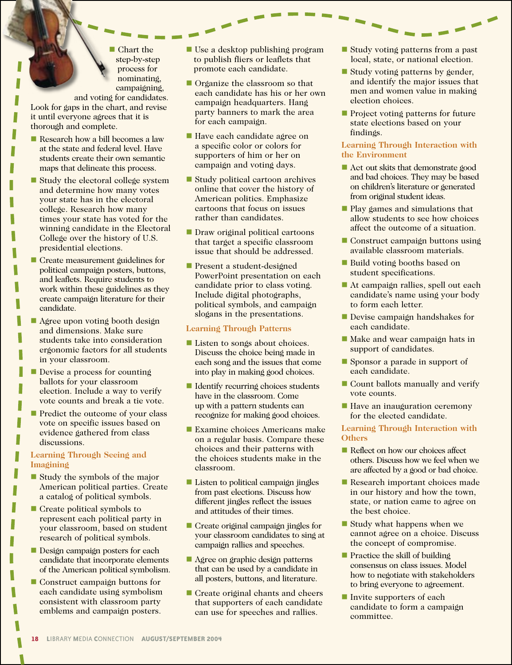$\blacksquare$  Chart the step-by-step process for nominating, campaigning,

and voting for candidates. Look for gaps in the chart, and revise it until everyone agrees that it is thorough and complete.

Research how a bill becomes a law at the state and federal level. Have students create their own semantic maps that delineate this process.

Γ

П

Γ

۱

- $\blacksquare$  Study the electoral college system and determine how many votes your state has in the electoral college. Research how many times your state has voted for the winning candidate in the Electoral College over the history of U.S. presidential elections.
- Create measurement guidelines for political campaign posters, buttons, and leaflets. Require students to work within these guidelines as they create campaign literature for their candidate.
- **n** Agree upon voting booth design and dimensions. Make sure students take into consideration ergonomic factors for all students in your classroom.
- $\blacksquare$  Devise a process for counting ballots for your classroom election. Include a way to verify vote counts and break a tie vote.
- $\blacksquare$  Predict the outcome of your class vote on specific issues based on evidence gathered from class discussions.

# **Learning Through Seeing and Imagining**

- $\blacksquare$  Study the symbols of the major American political parties. Create a catalog of political symbols.
- Create political symbols to represent each political party in your classroom, based on student research of political symbols.
- **n** Design campaign posters for each candidate that incorporate elements of the American political symbolism.
- Construct campaign buttons for each candidate using symbolism consistent with classroom party emblems and campaign posters.
- $\blacksquare$  Use a desktop publishing program to publish fliers or leaflets that promote each candidate.
- $\blacksquare$  Organize the classroom so that each candidate has his or her own campaign headquarters. Hang party banners to mark the area for each campaign.
- Have each candidate agree on a specific color or colors for supporters of him or her on campaign and voting days.
- Study political cartoon archives online that cover the history of American politics. Emphasize cartoons that focus on issues rather than candidates.
- **n** Draw original political cartoons that target a specific classroom issue that should be addressed.
- **n** Present a student-designed PowerPoint presentation on each candidate prior to class voting. Include digital photographs, political symbols, and campaign slogans in the presentations.

# **Learning Through Patterns**

- **Listen to songs about choices.** Discuss the choice being made in each song and the issues that come into play in making good choices.
- Identify recurring choices students have in the classroom. Come up with a pattern students can recognize for making good choices.
- **Examine choices Americans make** on a regular basis. Compare these choices and their patterns with the choices students make in the classroom.
- Listen to political campaign jingles from past elections. Discuss how different jingles reflect the issues and attitudes of their times.
- $\blacksquare$  Create original campaign jingles for your classroom candidates to sing at campaign rallies and speeches.
- Agree on graphic design patterns that can be used by a candidate in all posters, buttons, and literature.
- Create original chants and cheers that supporters of each candidate can use for speeches and rallies.
- $\blacksquare$  Study voting patterns from a past local, state, or national election.
- $\blacksquare$  Study voting patterns by gender, and identify the major issues that men and women value in making election choices.
- $\blacksquare$  Project voting patterns for future state elections based on your findings.

## **Learning Through Interaction with the Environment**

- n Act out skits that demonstrate good and bad choices. They may be based on children's literature or generated from original student ideas.
- **n** Play games and simulations that allow students to see how choices affect the outcome of a situation.
- $\blacksquare$  Construct campaign buttons using available classroom materials.
- Build voting booths based on student specifications.
- At campaign rallies, spell out each candidate's name using your body to form each letter.
- **n** Devise campaign handshakes for each candidate.
- Make and wear campaign hats in support of candidates.
- Sponsor a parade in support of each candidate.
- $\blacksquare$  Count ballots manually and verify vote counts.
- Have an inauguration ceremony for the elected candidate.

## **Learning Through Interaction with Others**

- Reflect on how our choices affect others. Discuss how we feel when we are affected by a good or bad choice.
- Research important choices made in our history and how the town, state, or nation came to agree on the best choice.
- Study what happens when we cannot agree on a choice. Discuss the concept of compromise.
- $\blacksquare$  Practice the skill of building consensus on class issues. Model how to negotiate with stakeholders to bring everyone to agreement.
- $\blacksquare$  Invite supporters of each candidate to form a campaign committee.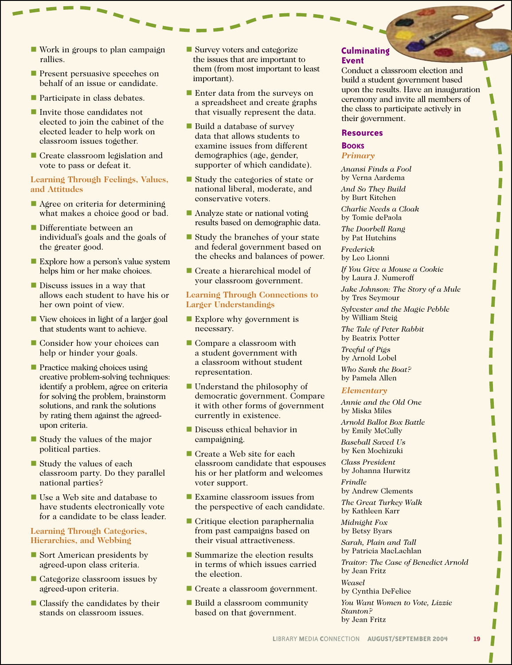- $\blacksquare$  Work in groups to plan campaign rallies.
- **n** Present persuasive speeches on behalf of an issue or candidate.
- $\blacksquare$  Participate in class debates.
- Invite those candidates not elected to join the cabinet of the elected leader to help work on classroom issues together.
- Create classroom legislation and vote to pass or defeat it.

## **Learning Through Feelings, Values, and Attitudes**

- $\blacksquare$  Agree on criteria for determining what makes a choice good or bad.
- Differentiate between an individual's goals and the goals of the greater good.
- **Explore how a person's value system** helps him or her make choices.
- **n** Discuss issues in a way that allows each student to have his or her own point of view.
- View choices in light of a larger goal that students want to achieve.
- Consider how your choices can help or hinder your goals.
- **n** Practice making choices using creative problem-solving techniques: identify a problem, agree on criteria for solving the problem, brainstorm solutions, and rank the solutions by rating them against the agreedupon criteria.
- $\blacksquare$  Study the values of the major political parties.
- $\blacksquare$  Study the values of each classroom party. Do they parallel national parties?
- Use a Web site and database to have students electronically vote for a candidate to be class leader.

## **Learning Through Categories, Hierarchies, and Webbing**

- Sort American presidents by agreed-upon class criteria.
- $\blacksquare$  Categorize classroom issues by agreed-upon criteria.
- $\blacksquare$  Classify the candidates by their stands on classroom issues.
- **N** Survey voters and categorize the issues that are important to them (from most important to least important).
- $\blacksquare$  Enter data from the surveys on a spreadsheet and create graphs that visually represent the data.
- **n** Build a database of survey data that allows students to examine issues from different demographics (age, gender, supporter of which candidate).
- Study the categories of state or national liberal, moderate, and conservative voters.
- $\blacksquare$  Analyze state or national voting results based on demographic data.
- $\blacksquare$  Study the branches of your state and federal government based on the checks and balances of power.
- $\blacksquare$  Create a hierarchical model of your classroom government.

## **Learning Through Connections to Larger Understandings**

- Explore why government is necessary.
- $\blacksquare$  Compare a classroom with a student government with a classroom without student representation.
- $\blacksquare$  Understand the philosophy of democratic government. Compare it with other forms of government currently in existence.
- **Discuss ethical behavior in** campaigning.
- Create a Web site for each classroom candidate that espouses his or her platform and welcomes voter support.
- $\blacksquare$  Examine classroom issues from the perspective of each candidate.
- **n** Critique election paraphernalia from past campaigns based on their visual attractiveness.
- $\blacksquare$  Summarize the election results in terms of which issues carried the election.
- Create a classroom government.
- Build a classroom community based on that government.

## **Culminating Event**

Conduct a classroom election and build a student government based upon the results. Have an inauguration ceremony and invite all members of the class to participate actively in their government.

#### **Resources**

## **BOOKS** *Primary*

*Anansi Finds a Fool* by Verna Aardema

*And So They Build*  by Burt Kitchen

*Charlie Needs a Cloak* by Tomie dePaola

*The Doorbell Rang*  by Pat Hutchins

*Frederick*  by Leo Lionni

*If You Give a Mouse a Cookie*  by Laura J. Numeroff

*Jake Johnson: The Story of a Mule*  by Tres Seymour

*Sylvester and the Magic Pebble*  by William Steig

*The Tale of Peter Rabbit*  by Beatrix Potter

*Treeful of Pigs*  by Arnold Lobel

*Who Sank the Boat?*  by Pamela Allen

## *Elementary*

*Annie and the Old One* by Miska Miles

*Arnold Ballot Box Battle*  by Emily McCully

*Baseball Saved Us*  by Ken Mochizuki

*Class President*  by Johanna Hurwitz

*Frindle*  by Andrew Clements

*The Great Turkey Walk* by Kathleen Karr

*Midnight Fox*  by Betsy Byars

*Sarah, Plain and Tall* by Patricia MacLachlan

*Traitor: The Case of Benedict Arnold*  by Jean Fritz

*Weasel*  by Cynthia DeFelice

*You Want Women to Vote, Lizzie Stanton?* by Jean Fritz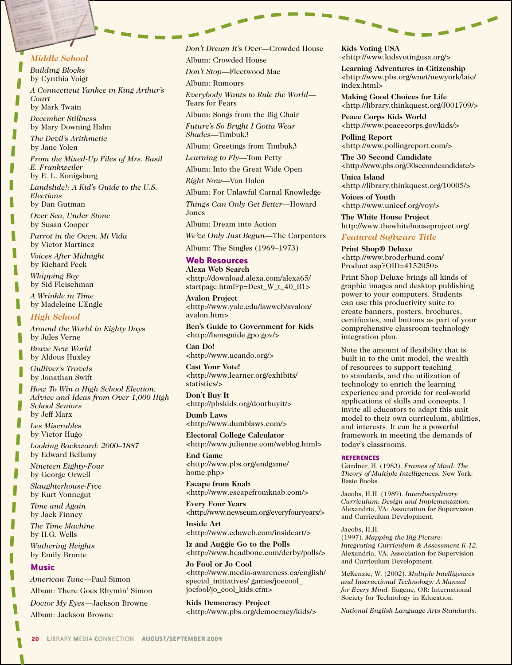## *Middle School*

*Building Blocks*  by Cynthia Voigt *A Connecticut Yankee in King Arthur's Court* by Mark Twain

*December Stillness* by Mary Downing Hahn

*The Devil's Arithmetic*  by Jane Yolen

*From the Mixed-Up Files of Mrs. Basil E. Frankweiler* by E. L. Konigsburg

*Landslide!: A Kid's Guide to the U.S. Elections*  by Dan Gutman

*Over Sea, Under Stone*  by Susan Cooper

*Parrot in the Oven: Mi Vida* by Victor Martinez

*Voices After Midnight*  by Richard Peck

*Whipping Boy* by Sid Fleischman

*A Wrinkle in Time* by Madeleine L'Engle

#### *High School*

*Around the World in Eighty Days*  by Jules Verne

*Brave New World*  by Aldous Huxley

*Gulliver's Travels*  by Jonathan Swift

*How To Win a High School Election: Advice and Ideas from Over 1,000 High School Seniors*  by Jeff Marx

*Les Miserables* by Victor Hugo

*Looking Backward: 2000–1887*  by Edward Bellamy

*Nineteen Eighty-Four*  by George Orwell

*Slaughterhouse-Five*  by Kurt Vonnegut

*Time and Again*  by Jack Finney

*The Time Machine* by H.G. Wells

*Wuthering Heights* by Emily Bronte

#### **Music**

*American Tune*—Paul Simon Album: There Goes Rhymin' Simon

*Doctor My Eyes*—Jackson Browne

Album: Jackson Browne

*Don't Dream It's Over*—Crowded House Album: Crowded House

*Don't Stop*—Fleetwood Mac

Album: Rumours

*Everybody Wants to Rule the World*— Tears for Fears

Album: Songs from the Big Chair *Future's So Bright I Gotta Wear Shades*—Timbuk3

Album: Greetings from Timbuk3

*Learning to Fly*—Tom Petty

Album: Into the Great Wide Open

*Right Now*—Van Halen

Album: For Unlawful Carnal Knowledge

*Things Can Only Get Better*—Howard

Jones

Album: Dream into Action

*We've Only Just Begun*—The Carpenters

Album: The Singles (1969–1973)

#### **Web Resources**

**Alexa Web Search** <http://download.alexa.com/alexa65/ startpage.html?p=Dest\_W\_t\_40\_B1>

**Avalon Project** <http://www.yale.edu/lawweb/avalon/ avalon.htm>

**Ben's Guide to Government for Kids** <http://bensguide.gpo.gov/>

**Can Do!** <http://www.ucando.org/>

**Cast Your Vote!** <http://www.learner.org/exhibits/ statistics/>

**Don't Buy It** <http://pbskids.org/dontbuyit/>

**Dumb Laws** <http://www.dumblaws.com/>

**Electoral College Calculator** <http://www.julienne.com/weblog.html>

**End Game** <http://www.pbs.org/endgame/ home.php>

**Escape from Knab** <http://www.escapefromknab.com/>

**Every Four Years** <http://www.newseum.org/everyfouryears/>

**Inside Art** <http://www.eduweb.com/insideart/>

**Iz and Auggie Go to the Polls** <http://www.headbone.com/derby/polls/>

**Jo Fool or Jo Cool** <http://www.media-awareness.ca/english/ special\_initiatives/ games/joecool\_ joefool/jo\_cool\_kids.cfm>

**Kids Democracy Project** <http://www.pbs.org/democracy/kids/> **Kids Voting USA** <http://www.kidsvotingusa.org/>

 $\overline{\phantom{0}}$ 

**Learning Adventures in Citizenship** <http://www.pbs.org/wnet/newyork/laic/ index.html>

 $\overline{\phantom{0}}$ 

**Making Good Choices for Life** <http://library.thinkquest.org/J001709/>

**Peace Corps Kids World** <http://www.peacecorps.gov/kids/>

**Polling Report** <http://www.pollingreport.com/>

**The 30 Second Candidate** <http://www.pbs.org/30secondcandidate/>

**Unica Island <**http://library.thinkquest.org/10005/>

**Voices of Youth** <http://www.unicef.org/voy/>

**The White House Project** http://www.thewhitehouseproject.org/

## *Featured Software Title*

**Print Shop® Deluxe** <http://www.broderbund.com/ Product.asp?OID=4152050>

Print Shop Deluxe brings all kinds of graphic images and desktop publishing power to your computers. Students can use this productivity suite to create banners, posters, brochures, certificates, and buttons as part of your comprehensive classroom technology integration plan.

Note the amount of flexibility that is built in to the unit model, the wealth of resources to support teaching to standards, and the utilization of technology to enrich the learning experience and provide for real-world applications of skills and concepts. I invite all educators to adapt this unit model to their own curriculum, abilities, and interests. It can be a powerful framework in meeting the demands of today's classrooms.

#### **REFERENCES**

Gardner, H. (1983). *Frames of Mind: The Theory of Multiple Intelligences.* New York: Basic Books.

Jacobs, H.H. (1989). *Interdisciplinary Curriculum: Design and Implementation.* Alexandria, VA: Association for Supervision and Curriculum Development.

#### Jacobs, H.H.

(1997). *Mapping the Big Picture: Integrating Curriculum & Assessment K-12.* Alexandria, VA: Association for Supervision and Curriculum Development.

McKenzie, W. (2002). *Multiple Intelligences and Instructional Technology: A Manual for Every Mind.* Eugene, OR: International Society for Technology in Education.

*National English Language Arts Standards.*